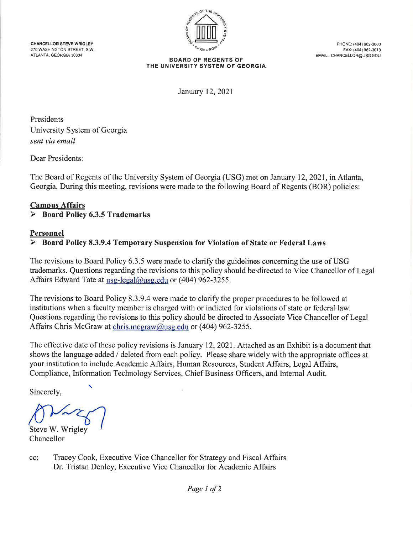CHANCELLOR STEVE WRIGLEY 270 WASHINGTON STREET, S.W. ATLANTA, GEORGIA 30334



PHONE: (404) 962-3000 FAX: (404) 962-3013 EMAIL: CHANCELLOR@USG.EDU

#### **BOARD OF REGENTS OF** THE UNIVERSITY SYSTEM OF GEORGIA

January 12, 2021

Presidents University System of Georgia sent via email

Dear Presidents:

The Board of Regents of the University System of Georgia (USG) met on January 12, 2021, in Atlanta, Georgia. During this meeting, revisions were made to the following Board of Regents (BOR) policies:

#### **Campus Affairs Board Policy 6.3.5 Trademarks** ➤

### **Personnel**

### Board Policy 8.3.9.4 Temporary Suspension for Violation of State or Federal Laws

The revisions to Board Policy 6.3.5 were made to clarify the guidelines concerning the use of USG trademarks. Questions regarding the revisions to this policy should be directed to Vice Chancellor of Legal Affairs Edward Tate at usg-legal@usg.edu or (404) 962-3255.

The revisions to Board Policy 8.3.9.4 were made to clarify the proper procedures to be followed at institutions when a faculty member is charged with or indicted for violations of state or federal law. Questions regarding the revisions to this policy should be directed to Associate Vice Chancellor of Legal Affairs Chris McGraw at chris.mcgraw@usg.edu or (404) 962-3255.

The effective date of these policy revisions is January 12, 2021. Attached as an Exhibit is a document that shows the language added / deleted from each policy. Please share widely with the appropriate offices at your institution to include Academic Affairs, Human Resources, Student Affairs, Legal Affairs, Compliance, Information Technology Services, Chief Business Officers, and Internal Audit.

Sincerely,

Steve W. Wrigley Chancellor

 $cc$ : Tracey Cook, Executive Vice Chancellor for Strategy and Fiscal Affairs Dr. Tristan Denley, Executive Vice Chancellor for Academic Affairs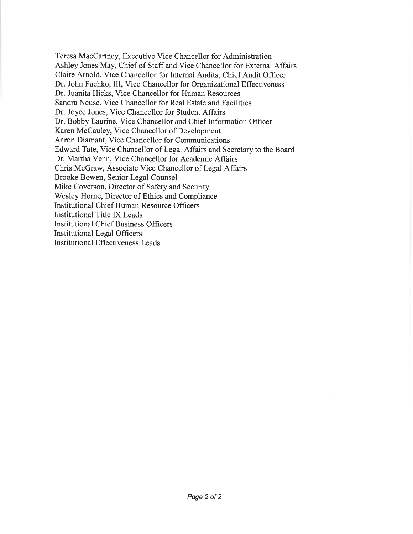Teresa MacCartney, Executive Vice Chancellor for Administration Ashley Jones May, Chief of Staff and Vice Chancellor for External Affairs Claire Arnold, Vice Chancellor for Internal Audits, Chief Audit Officer Dr. John Fuchko, III, Vice Chancellor for Organizational Effectiveness Dr. Juanita Hicks, Vice Chancellor for Human Resources Sandra Neuse, Vice Chancellor for Real Estate and Facilities Dr. Joyce Jones, Vice Chancellor for Student Affairs Dr. Bobby Laurine, Vice Chancellor and Chief Information Officer Karen McCauley, Vice Chancellor of Development Aaron Diamant, Vice Chancellor for Communications Edward Tate, Vice Chancellor of Legal Affairs and Secretary to the Board Dr. Martha Venn, Vice Chancellor for Academic Affairs Chris McGraw, Associate Vice Chancellor of Legal Affairs Brooke Bowen, Senior Legal Counsel Mike Coverson, Director of Safety and Security Wesley Horne, Director of Ethics and Compliance **Institutional Chief Human Resource Officers** Institutional Title IX Leads **Institutional Chief Business Officers Institutional Legal Officers Institutional Effectiveness Leads**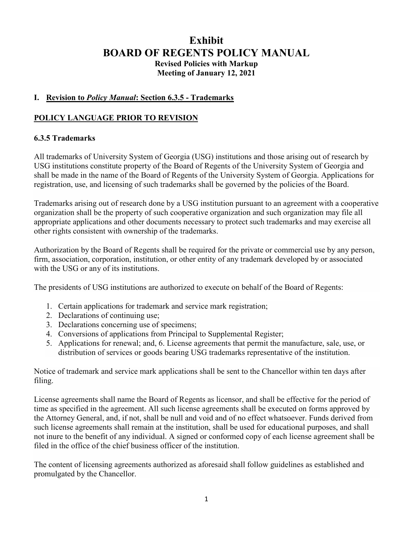# **Exhibit BOARD OF REGENTS POLICY MANUAL Revised Policies with Markup Meeting of January 12, 2021**

### **I. Revision to** *Policy Manual***: Section 6.3.5 - Trademarks**

### **POLICY LANGUAGE PRIOR TO REVISION**

### **6.3.5 Trademarks**

All trademarks of University System of Georgia (USG) institutions and those arising out of research by USG institutions constitute property of the Board of Regents of the University System of Georgia and shall be made in the name of the Board of Regents of the University System of Georgia. Applications for registration, use, and licensing of such trademarks shall be governed by the policies of the Board.

Trademarks arising out of research done by a USG institution pursuant to an agreement with a cooperative organization shall be the property of such cooperative organization and such organization may file all appropriate applications and other documents necessary to protect such trademarks and may exercise all other rights consistent with ownership of the trademarks.

Authorization by the Board of Regents shall be required for the private or commercial use by any person, firm, association, corporation, institution, or other entity of any trademark developed by or associated with the USG or any of its institutions.

The presidents of USG institutions are authorized to execute on behalf of the Board of Regents:

- 1. Certain applications for trademark and service mark registration;
- 2. Declarations of continuing use;
- 3. Declarations concerning use of specimens;
- 4. Conversions of applications from Principal to Supplemental Register;
- 5. Applications for renewal; and, 6. License agreements that permit the manufacture, sale, use, or distribution of services or goods bearing USG trademarks representative of the institution.

Notice of trademark and service mark applications shall be sent to the Chancellor within ten days after filing.

License agreements shall name the Board of Regents as licensor, and shall be effective for the period of time as specified in the agreement. All such license agreements shall be executed on forms approved by the Attorney General, and, if not, shall be null and void and of no effect whatsoever. Funds derived from such license agreements shall remain at the institution, shall be used for educational purposes, and shall not inure to the benefit of any individual. A signed or conformed copy of each license agreement shall be filed in the office of the chief business officer of the institution.

The content of licensing agreements authorized as aforesaid shall follow guidelines as established and promulgated by the Chancellor.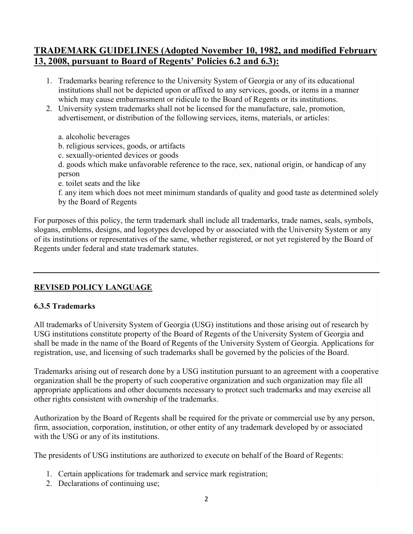## **TRADEMARK GUIDELINES (Adopted November 10, 1982, and modified February 13, 2008, pursuant to Board of Regents' Policies 6.2 and 6.3):**

- 1. Trademarks bearing reference to the University System of Georgia or any of its educational institutions shall not be depicted upon or affixed to any services, goods, or items in a manner which may cause embarrassment or ridicule to the Board of Regents or its institutions.
- 2. University system trademarks shall not be licensed for the manufacture, sale, promotion, advertisement, or distribution of the following services, items, materials, or articles:
	- a. alcoholic beverages
	- b. religious services, goods, or artifacts
	- c. sexually-oriented devices or goods
	- d. goods which make unfavorable reference to the race, sex, national origin, or handicap of any person
	- e. toilet seats and the like
	- f. any item which does not meet minimum standards of quality and good taste as determined solely by the Board of Regents

For purposes of this policy, the term trademark shall include all trademarks, trade names, seals, symbols, slogans, emblems, designs, and logotypes developed by or associated with the University System or any of its institutions or representatives of the same, whether registered, or not yet registered by the Board of Regents under federal and state trademark statutes.

### **REVISED POLICY LANGUAGE**

### **6.3.5 Trademarks**

All trademarks of University System of Georgia (USG) institutions and those arising out of research by USG institutions constitute property of the Board of Regents of the University System of Georgia and shall be made in the name of the Board of Regents of the University System of Georgia. Applications for registration, use, and licensing of such trademarks shall be governed by the policies of the Board.

Trademarks arising out of research done by a USG institution pursuant to an agreement with a cooperative organization shall be the property of such cooperative organization and such organization may file all appropriate applications and other documents necessary to protect such trademarks and may exercise all other rights consistent with ownership of the trademarks.

Authorization by the Board of Regents shall be required for the private or commercial use by any person, firm, association, corporation, institution, or other entity of any trademark developed by or associated with the USG or any of its institutions.

The presidents of USG institutions are authorized to execute on behalf of the Board of Regents:

- 1. Certain applications for trademark and service mark registration;
- 2. Declarations of continuing use;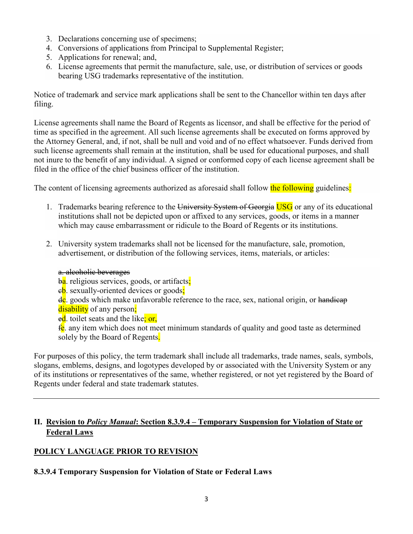- 3. Declarations concerning use of specimens;
- 4. Conversions of applications from Principal to Supplemental Register;
- 5. Applications for renewal; and,
- 6. License agreements that permit the manufacture, sale, use, or distribution of services or goods bearing USG trademarks representative of the institution.

Notice of trademark and service mark applications shall be sent to the Chancellor within ten days after filing.

License agreements shall name the Board of Regents as licensor, and shall be effective for the period of time as specified in the agreement. All such license agreements shall be executed on forms approved by the Attorney General, and, if not, shall be null and void and of no effect whatsoever. Funds derived from such license agreements shall remain at the institution, shall be used for educational purposes, and shall not inure to the benefit of any individual. A signed or conformed copy of each license agreement shall be filed in the office of the chief business officer of the institution.

The content of licensing agreements authorized as aforesaid shall follow the following guidelines:

- 1. Trademarks bearing reference to the University System of Georgia USG or any of its educational institutions shall not be depicted upon or affixed to any services, goods, or items in a manner which may cause embarrassment or ridicule to the Board of Regents or its institutions.
- 2. University system trademarks shall not be licensed for the manufacture, sale, promotion, advertisement, or distribution of the following services, items, materials, or articles:

### a. alcoholic beverages

ba. religious services, goods, or artifacts;

eb. sexually-oriented devices or goods;

dc. goods which make unfavorable reference to the race, sex, national origin, or handicap disability of any person:

ed. toilet seats and the like; or,

 $f_{\rm c}$  any item which does not meet minimum standards of quality and good taste as determined solely by the Board of Regents.

For purposes of this policy, the term trademark shall include all trademarks, trade names, seals, symbols, slogans, emblems, designs, and logotypes developed by or associated with the University System or any of its institutions or representatives of the same, whether registered, or not yet registered by the Board of Regents under federal and state trademark statutes.

### **II. Revision to** *Policy Manual***: Section 8.3.9.4 – Temporary Suspension for Violation of State or Federal Laws**

### **POLICY LANGUAGE PRIOR TO REVISION**

**8.3.9.4 Temporary Suspension for Violation of State or Federal Laws**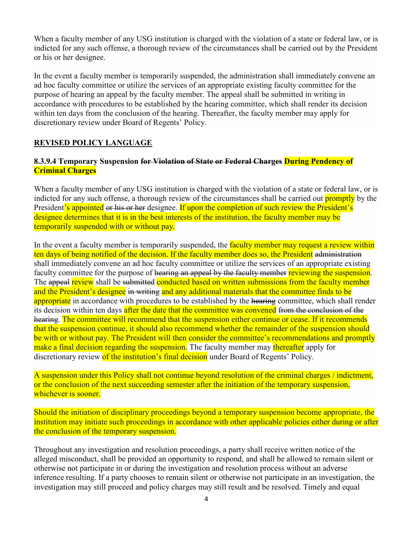When a faculty member of any USG institution is charged with the violation of a state or federal law, or is indicted for any such offense, a thorough review of the circumstances shall be carried out by the President or his or her designee.

In the event a faculty member is temporarily suspended, the administration shall immediately convene an ad hoc faculty committee or utilize the services of an appropriate existing faculty committee for the purpose of hearing an appeal by the faculty member. The appeal shall be submitted in writing in accordance with procedures to be established by the hearing committee, which shall render its decision within ten days from the conclusion of the hearing. Thereafter, the faculty member may apply for discretionary review under Board of Regents' Policy.

### **REVISED POLICY LANGUAGE**

### **8.3.9.4 Temporary Suspension for Violation of State or Federal Charges During Pendency of Criminal Charges**

When a faculty member of any USG institution is charged with the violation of a state or federal law, or is indicted for any such offense, a thorough review of the circumstances shall be carried out **promptly** by the President's appointed or his or her designee. If upon the completion of such review the President's designee determines that it is in the best interests of the institution, the faculty member may be temporarily suspended with or without pay.

In the event a faculty member is temporarily suspended, the faculty member may request a review within ten days of being notified of the decision. If the faculty member does so, the President administration shall immediately convene an ad hoc faculty committee or utilize the services of an appropriate existing faculty committee for the purpose of hearing an appeal by the faculty member reviewing the suspension. The appeal review shall be submitted conducted based on written submissions from the faculty member and the President's designee in writing and any additional materials that the committee finds to be appropriate in accordance with procedures to be established by the hearing committee, which shall render its decision within ten days after the date that the committee was convened from the conclusion of the hearing. The committee will recommend that the suspension either continue or cease. If it recommends that the suspension continue, it should also recommend whether the remainder of the suspension should be with or without pay. The President will then consider the committee's recommendations and promptly make a final decision regarding the suspension. The faculty member may thereafter apply for discretionary review of the institution's final decision under Board of Regents' Policy.

A suspension under this Policy shall not continue beyond resolution of the criminal charges / indictment, or the conclusion of the next succeeding semester after the initiation of the temporary suspension, whichever is sooner.

Should the initiation of disciplinary proceedings beyond a temporary suspension become appropriate, the institution may initiate such proceedings in accordance with other applicable policies either during or after the conclusion of the temporary suspension.

Throughout any investigation and resolution proceedings, a party shall receive written notice of the alleged misconduct, shall be provided an opportunity to respond, and shall be allowed to remain silent or otherwise not participate in or during the investigation and resolution process without an adverse inference resulting. If a party chooses to remain silent or otherwise not participate in an investigation, the investigation may still proceed and policy charges may still result and be resolved. Timely and equal